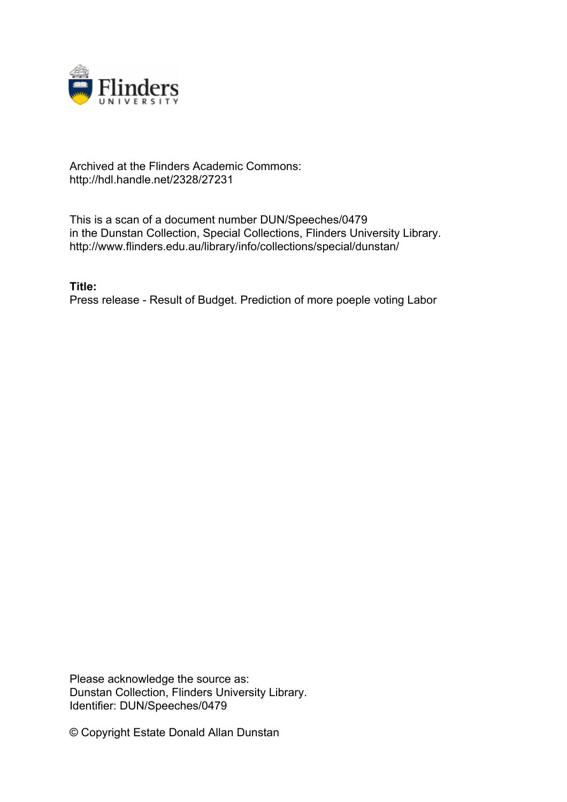

## Archived at the Flinders Academic Commons: http://hdl.handle.net/2328/27231

This is a scan of a document number DUN/Speeches/0479 in the Dunstan Collection, Special Collections, Flinders University Library. http://www.flinders.edu.au/library/info/collections/special/dunstan/

**Title:** Press release - Result of Budget. Prediction of more poeple voting Labor

Please acknowledge the source as: Dunstan Collection, Flinders University Library. Identifier: DUN/Speeches/0479

© Copyright Estate Donald Allan Dunstan